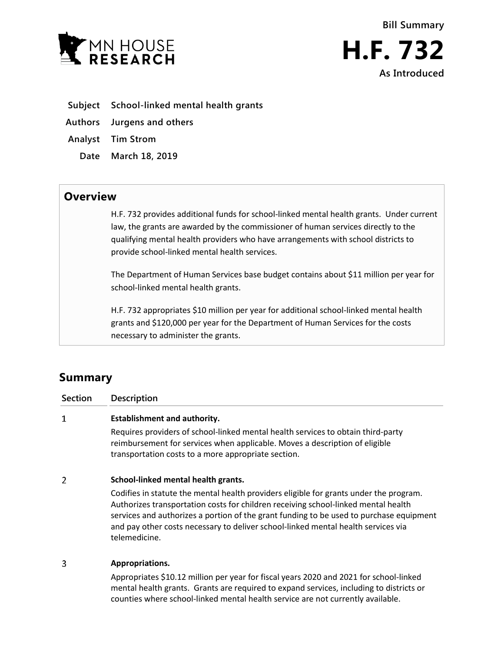



- **Subject School-linked mental health grants**
- **Authors Jurgens and others**
- **Analyst Tim Strom**
	- **Date March 18, 2019**

## **Overview**

H.F. 732 provides additional funds for school-linked mental health grants. Under current law, the grants are awarded by the commissioner of human services directly to the qualifying mental health providers who have arrangements with school districts to provide school-linked mental health services.

The Department of Human Services base budget contains about \$11 million per year for school-linked mental health grants.

H.F. 732 appropriates \$10 million per year for additional school-linked mental health grants and \$120,000 per year for the Department of Human Services for the costs necessary to administer the grants.

## **Summary**

**Section Description**  $\mathbf{1}$ **Establishment and authority.** Requires providers of school-linked mental health services to obtain third-party reimbursement for services when applicable. Moves a description of eligible transportation costs to a more appropriate section.

## $\overline{2}$ **School-linked mental health grants.**

Codifies in statute the mental health providers eligible for grants under the program. Authorizes transportation costs for children receiving school-linked mental health services and authorizes a portion of the grant funding to be used to purchase equipment and pay other costs necessary to deliver school-linked mental health services via telemedicine.

## 3 **Appropriations.**

Appropriates \$10.12 million per year for fiscal years 2020 and 2021 for school-linked mental health grants. Grants are required to expand services, including to districts or counties where school-linked mental health service are not currently available.